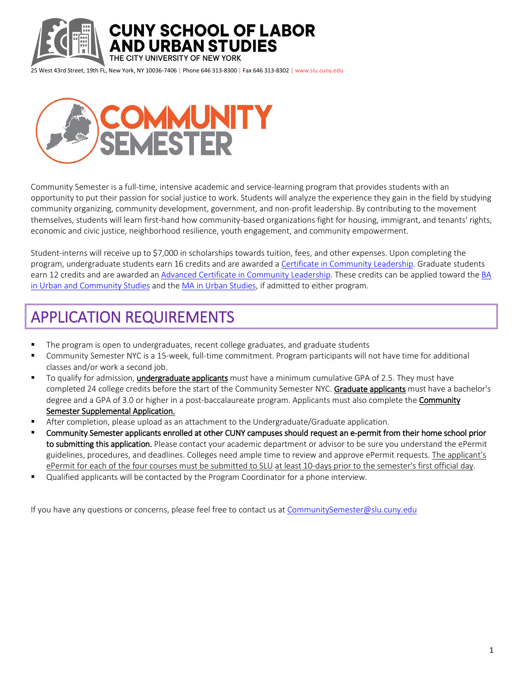

THE CITY UNIVERSITY OF NEW YORK

25 West 43rd Street, 19th FL, New York, NY 10036-7406 | Phone 646 313-8300 | Fax 646 313-8302 | www.slu.cuny.edu

**AND URBAN STUDIES** 

**CUNY SCHOOL OF LABOR** 



Community Semester is a full-time, intensive academic and service-learning program that provides students with an opportunity to put their passion for social justice to work. Students will analyze the experience they gain in the field by studying community organizing, community development, government, and non-profit leadership. By contributing to the movement themselves, students will learn first-hand how community-based organizations fight for housing, immigrant, and tenants' rights, economic and civic justice, neighborhood resilience, youth engagement, and community empowerment.

Student-interns will receive up to \$7,000 in scholarships towards tuition, fees, and other expenses. Upon completing the program, undergraduate students earn 16 credits and are awarded a [Certificate in Community Leadership.](http://slu.cuny.edu/urban-studies/certificates/certificate-community-leadership/) Graduate students earn 12 credits and are awarded an [Advanced Certificate in Community Leadership.](http://slu.cuny.edu/urban-studies/certificates/advanced-certificate-community-leadership/) These credits can be applied toward th[e BA](http://slu.cuny.edu/urban-studies/degrees/ba-urban-community-studies/)  [in Urban and Community Studies](http://slu.cuny.edu/urban-studies/degrees/ba-urban-community-studies/) and the [MA in Urban Studies,](http://slu.cuny.edu/urban-studies/degrees/ma-urban-studies/) if admitted to either program.

# APPLICATION REQUIREMENTS

- The program is open to undergraduates, recent college graduates, and graduate students
- Community Semester NYC is a 15-week, full-time commitment. Program participants will not have time for additional classes and/or work a second job.
- To qualify for admission, **undergraduate applicants** must have a minimum cumulative GPA of 2.5. They must have completed 24 college credits before the start of the Community Semester NYC. Graduate applicants must have a bachelor's degree and a GPA of 3.0 or higher in a post-baccalaureate program. Applicants must also complete the **Community** Semester Supplemental Application.
- **After completion, please upload as an attachment to the Undergraduate/Graduate application.**
- Community Semester applicants enrolled at other CUNY campuses should request an e-permit from their home school prior to submitting this application. Please contact your academic department or advisor to be sure you understand the ePermit guidelines, procedures, and deadlines. Colleges need ample time to review and approve ePermit requests. The applicant's ePermit for each of the four courses must be submitted to SLU at least 10-days prior to the semester's first official day.
- **Ualified applicants will be contacted by the Program Coordinator for a phone interview.**

If you have any questions or concerns, please feel free to contact us at CommunitySemester@slu.cuny.edu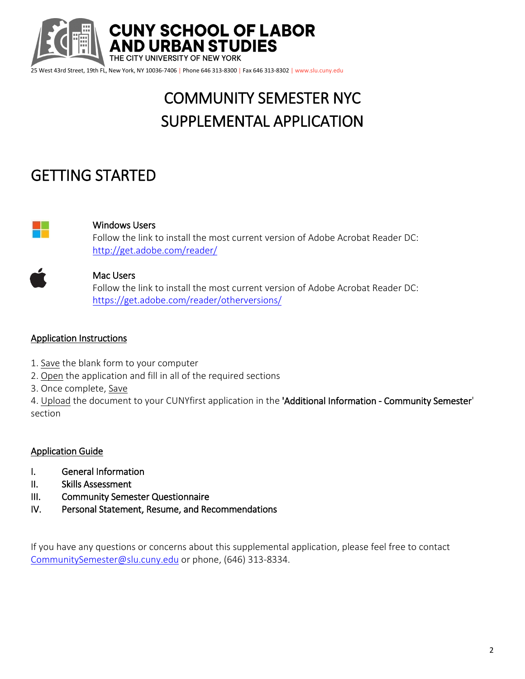

# COMMUNITY SEMESTER NYC SUPPLEMENTAL APPLICATION

# GETTING STARTED



## Windows Users

Follow the link to install the most current version of Adobe Acrobat Reader DC: <http://get.adobe.com/reader/>



### Mac Users

Follow the link to install the most current version of Adobe Acrobat Reader DC: <https://get.adobe.com/reader/otherversions/>

### Application Instructions

- 1. Save the blank form to your computer
- 2. Open the application and fill in all of the required sections
- 3. Once complete, Save

4. Upload the document to your CUNYfirst application in the 'Additional Information - Community Semester' section

## Application Guide

- I. General Information
- II. Skills Assessment
- III. Community Semester Questionnaire
- IV. Personal Statement, Resume, and Recommendations

If you have any questions or concerns about this supplemental application, please feel free to contact [CommunitySemester@slu.cuny.edu](mailto:CommunitySemester@slu.cuny.edu) or phone, (646) 313-8334.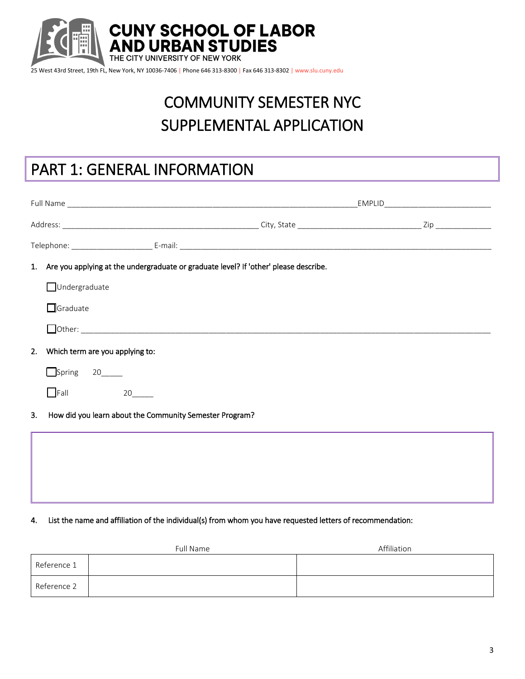

# COMMUNITY SEMESTER NYC SUPPLEMENTAL APPLICATION

## PART 1: GENERAL INFORMATION

|    |                                                                                         | _EMPLID__________________________________ |
|----|-----------------------------------------------------------------------------------------|-------------------------------------------|
|    |                                                                                         |                                           |
|    |                                                                                         |                                           |
|    | 1. Are you applying at the undergraduate or graduate level? If 'other' please describe. |                                           |
|    | <b>JUndergraduate</b>                                                                   |                                           |
|    | $\Box$ Graduate                                                                         |                                           |
|    |                                                                                         |                                           |
| 2. | Which term are you applying to:                                                         |                                           |
|    | Spring 20                                                                               |                                           |
|    | $\Box$ Fall<br>20                                                                       |                                           |
| 3. | How did you learn about the Community Semester Program?                                 |                                           |
|    |                                                                                         |                                           |
|    |                                                                                         |                                           |
|    |                                                                                         |                                           |

4. List the name and affiliation of the individual(s) from whom you have requested letters of recommendation:

|             | Full Name | Affiliation |
|-------------|-----------|-------------|
| Reference 1 |           |             |
| Reference 2 |           |             |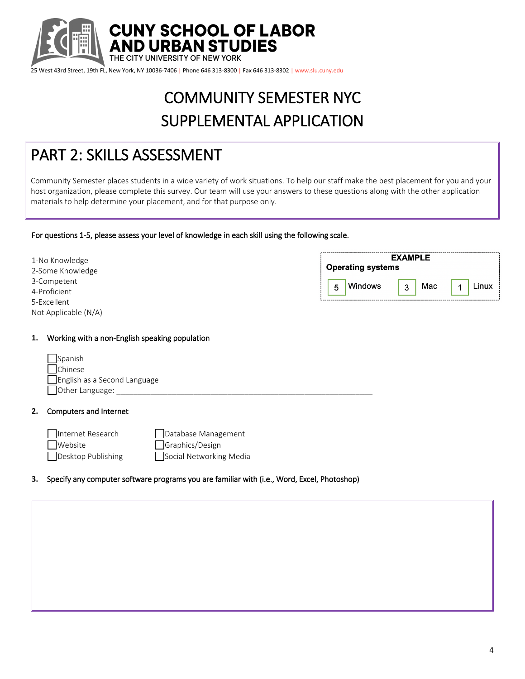

# COMMUNITY SEMESTER NYC SUPPLEMENTAL APPLICATION

## PART 2: SKILLS ASSESSMENT

Community Semester places students in a wide variety of work situations. To help our staff make the best placement for you and your host organization, please complete this survey. Our team will use your answers to these questions along with the other application materials to help determine your placement, and for that purpose only.

#### For questions 1-5, please assess your level of knowledge in each skill using the following scale.

| 1-No Knowledge<br>2-Some Knowledge  | <b>EXAMPLE</b><br><b>Operating systems</b> |  |  |
|-------------------------------------|--------------------------------------------|--|--|
| 3-Competent<br>4-Proficient         | Windows<br>Mac<br>Linux<br>5<br>3          |  |  |
| 5-Excellent<br>Not Applicable (N/A) |                                            |  |  |

#### **1.** Working with a non-English speaking population

| Spanish                      |  |
|------------------------------|--|
| <b>N</b> Chinese             |  |
| English as a Second Language |  |
| Other Language:              |  |

#### **2.** Computers and Internet

Internet Research **Database Management** Website Graphics/Design Desktop Publishing **Social Networking Media** 

### **3.** Specify any computer software programs you are familiar with (i.e., Word, Excel, Photoshop)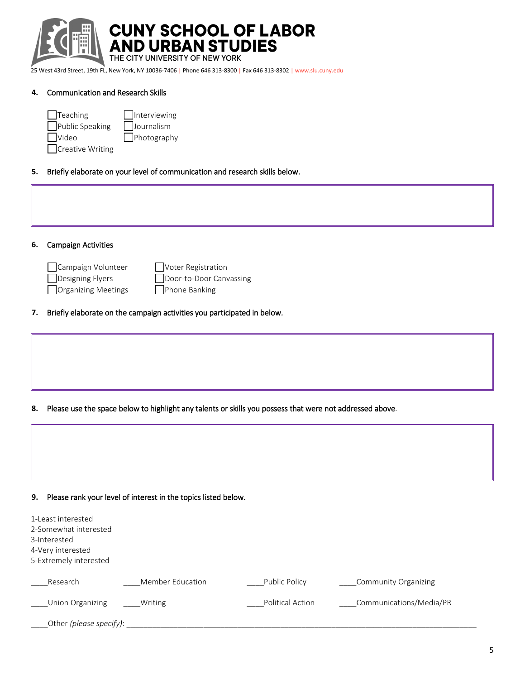

**CUNY SCHOOL OF LABOR<br>AND URBAN STUDIES** 

THE CITY UNIVERSITY OF NEW YORK

25 West 43rd Street, 19th FL, New York, NY 10036-7406 | Phone 646 313-8300 | Fax 646 313-8302 | www.slu.cuny.edu

#### **4.** Communication and Research Skills

| $\vert$ Teaching   | <b>Interviewing</b> |
|--------------------|---------------------|
| Public Speaking    | Journalism          |
| $\Box$ Video       | $\Box$ Photography  |
| □ Creative Writing |                     |

#### **5.** Briefly elaborate on your level of communication and research skills below.

| 6. | <b>Campaign Activities</b>                                    |                                                                         |
|----|---------------------------------------------------------------|-------------------------------------------------------------------------|
|    | Campaign Volunteer<br>Designing Flyers<br>Organizing Meetings | Voter Registration<br>Door-to-Door Canvassing<br>Phone Banking          |
| 7. |                                                               | Briefly elaborate on the campaign activities you participated in below. |

**8.** Please use the space below to highlight any talents or skills you possess that were not addressed above.

|  | ,我们也不能会有什么。""我们,我们也不能会有什么?""我们,我们也不能会有什么?""我们,我们也不能会有什么?""我们,我们也不能会有什么?""我们,我们也不 |  |
|--|----------------------------------------------------------------------------------|--|
|  |                                                                                  |  |
|  |                                                                                  |  |
|  |                                                                                  |  |
|  |                                                                                  |  |
|  |                                                                                  |  |
|  |                                                                                  |  |
|  |                                                                                  |  |

## **9.** Please rank your level of interest in the topics listed below.

| 1-Least interested<br>2-Somewhat interested<br>3-Interested<br>4-Very interested<br>5-Extremely interested |                  |                  |                             |
|------------------------------------------------------------------------------------------------------------|------------------|------------------|-----------------------------|
| Research                                                                                                   | Member Education | Public Policy    | <b>Community Organizing</b> |
| Union Organizing                                                                                           | Writing          | Political Action | Communications/Media/PR     |
| Other (please specify):                                                                                    |                  |                  |                             |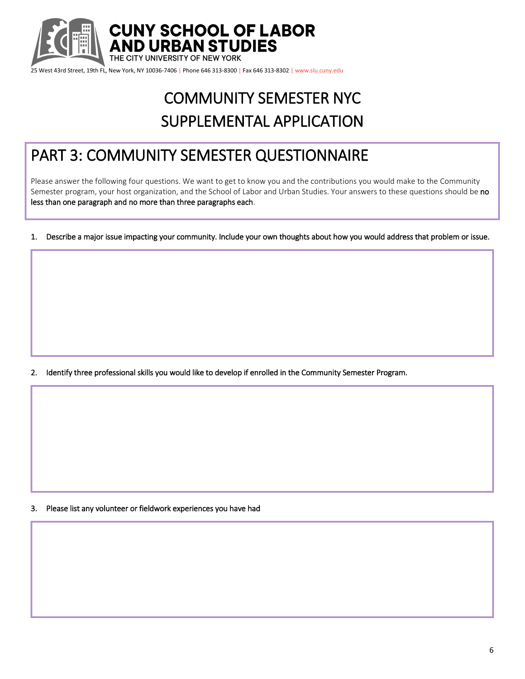

# COMMUNITY SEMESTER NYC SUPPLEMENTAL APPLICATION

## PART 3: COMMUNITY SEMESTER QUESTIONNAIRE

Please answer the following four questions. We want to get to know you and the contributions you would make to the Community Semester program, your host organization, and the School of Labor and Urban Studies. Your answers to these questions should be no less than one paragraph and no more than three paragraphs each.

1. Describe a major issue impacting your community. Include your own thoughts about how you would address that problem or issue.

2. Identify three professional skills you would like to develop if enrolled in the Community Semester Program.

3. Please list any volunteer or fieldwork experiences you have had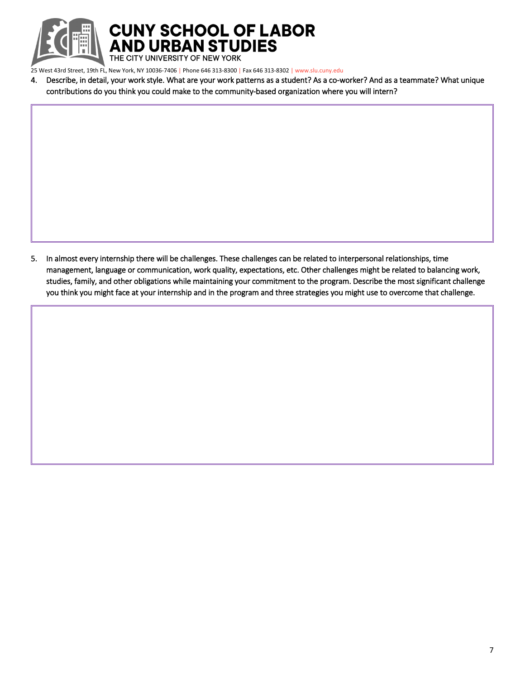

**CUNY SCHOOL OF LABOR AND URBAN STUDIES** 

THE CITY UNIVERSITY OF NEW YORK

25 West 43rd Street, 19th FL, New York, NY 10036-7406 | Phone 646 313-8300 | Fax 646 313-8302 | www.slu.cuny.edu

4. Describe, in detail, your work style. What are your work patterns as a student? As a co-worker? And as a teammate? What unique contributions do you think you could make to the community-based organization where you will intern?

5. In almost every internship there will be challenges. These challenges can be related to interpersonal relationships, time management, language or communication, work quality, expectations, etc. Other challenges might be related to balancing work, studies, family, and other obligations while maintaining your commitment to the program. Describe the most significant challenge you think you might face at your internship and in the program and three strategies you might use to overcome that challenge.